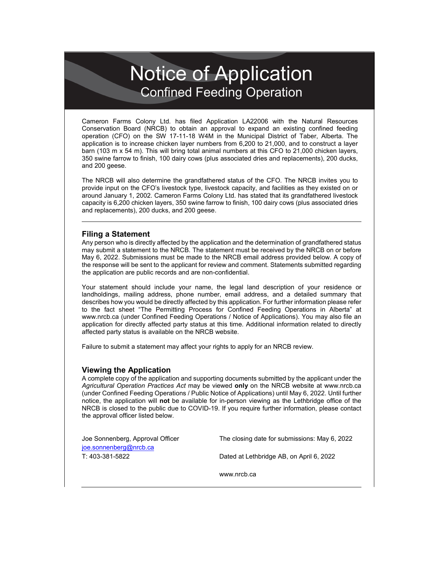## Notice of Application Confined Feeding Operation

Cameron Farms Colony Ltd. has filed Application LA22006 with the Natural Resources Conservation Board (NRCB) to obtain an approval to expand an existing confined feeding operation (CFO) on the SW 17-11-18 W4M in the Municipal District of Taber, Alberta. The application is to increase chicken layer numbers from 6,200 to 21,000, and to construct a layer barn (103 m x 54 m). This will bring total animal numbers at this CFO to 21,000 chicken layers, 350 swine farrow to finish, 100 dairy cows (plus associated dries and replacements), 200 ducks, and 200 geese.

The NRCB will also determine the grandfathered status of the CFO. The NRCB invites you to provide input on the CFO's livestock type, livestock capacity, and facilities as they existed on or around January 1, 2002. Cameron Farms Colony Ltd. has stated that its grandfathered livestock capacity is 6,200 chicken layers, 350 swine farrow to finish, 100 dairy cows (plus associated dries and replacements), 200 ducks, and 200 geese.

## **Filing a Statement**

Any person who is directly affected by the application and the determination of grandfathered status may submit a statement to the NRCB. The statement must be received by the NRCB on or before May 6, 2022. Submissions must be made to the NRCB email address provided below. A copy of the response will be sent to the applicant for review and comment. Statements submitted regarding the application are public records and are non-confidential.

Your statement should include your name, the legal land description of your residence or landholdings, mailing address, phone number, email address, and a detailed summary that describes how you would be directly affected by this application. For further information please refer to the fact sheet "The Permitting Process for Confined Feeding Operations in Alberta" at www.nrcb.ca (under Confined Feeding Operations / Notice of Applications). You may also file an application for directly affected party status at this time. Additional information related to directly affected party status is available on the NRCB website.

Failure to submit a statement may affect your rights to apply for an NRCB review.

## **Viewing the Application**

A complete copy of the application and supporting documents submitted by the applicant under the *Agricultural Operation Practices Act* may be viewed **only** on the NRCB website at [www.nrcb.ca](http://www.nrcb.ca/) (under Confined Feeding Operations / Public Notice of Applications) until May 6, 2022. Until further notice, the application will **not** be available for in-person viewing as the Lethbridge office of the NRCB is closed to the public due to COVID-19. If you require further information, please contact the approval officer listed below.

| Joe Sonnenberg, Approval Officer | The closing date for submissions: May 6, 2022 |
|----------------------------------|-----------------------------------------------|
| joe.sonnenberg@nrcb.ca           |                                               |
| T: 403-381-5822                  | Dated at Lethbridge AB, on April 6, 2022      |
|                                  |                                               |

[www.nrcb.ca](file://NRCB-File01/nosync/Application%20Form%20Review/Letters%20and%20Guides%202020/2%20AP%20and%20RG%20application/www.nrcb.ca)